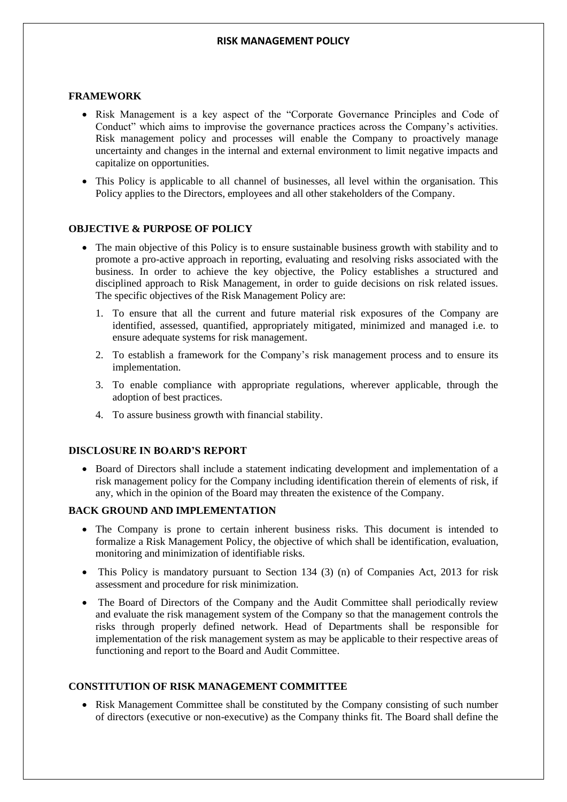#### **FRAMEWORK**

- Risk Management is a key aspect of the "Corporate Governance Principles and Code of Conduct" which aims to improvise the governance practices across the Company's activities. Risk management policy and processes will enable the Company to proactively manage uncertainty and changes in the internal and external environment to limit negative impacts and capitalize on opportunities.
- This Policy is applicable to all channel of businesses, all level within the organisation. This Policy applies to the Directors, employees and all other stakeholders of the Company.

## **OBJECTIVE & PURPOSE OF POLICY**

- The main objective of this Policy is to ensure sustainable business growth with stability and to promote a pro-active approach in reporting, evaluating and resolving risks associated with the business. In order to achieve the key objective, the Policy establishes a structured and disciplined approach to Risk Management, in order to guide decisions on risk related issues. The specific objectives of the Risk Management Policy are:
	- 1. To ensure that all the current and future material risk exposures of the Company are identified, assessed, quantified, appropriately mitigated, minimized and managed i.e. to ensure adequate systems for risk management.
	- 2. To establish a framework for the Company's risk management process and to ensure its implementation.
	- 3. To enable compliance with appropriate regulations, wherever applicable, through the adoption of best practices.
	- 4. To assure business growth with financial stability.

## **DISCLOSURE IN BOARD'S REPORT**

• Board of Directors shall include a statement indicating development and implementation of a risk management policy for the Company including identification therein of elements of risk, if any, which in the opinion of the Board may threaten the existence of the Company.

#### **BACK GROUND AND IMPLEMENTATION**

- The Company is prone to certain inherent business risks. This document is intended to formalize a Risk Management Policy, the objective of which shall be identification, evaluation, monitoring and minimization of identifiable risks.
- This Policy is mandatory pursuant to Section 134 (3) (n) of Companies Act, 2013 for risk assessment and procedure for risk minimization.
- The Board of Directors of the Company and the Audit Committee shall periodically review and evaluate the risk management system of the Company so that the management controls the risks through properly defined network. Head of Departments shall be responsible for implementation of the risk management system as may be applicable to their respective areas of functioning and report to the Board and Audit Committee.

## **CONSTITUTION OF RISK MANAGEMENT COMMITTEE**

• Risk Management Committee shall be constituted by the Company consisting of such number of directors (executive or non-executive) as the Company thinks fit. The Board shall define the